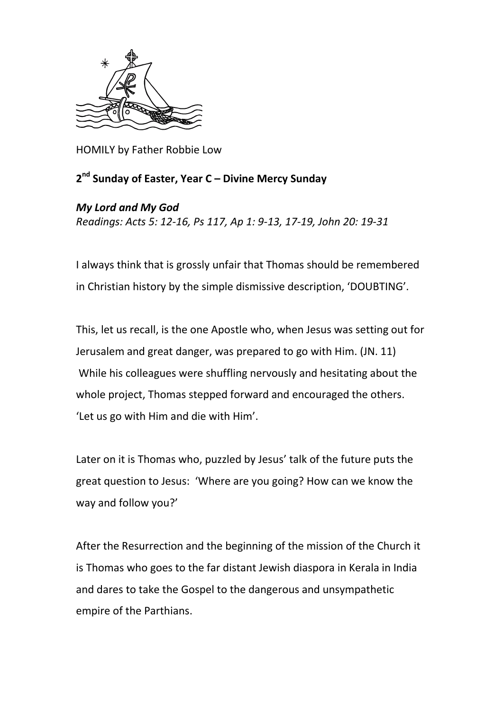

HOMILY by Father Robbie Low

## **2 nd Sunday of Easter, Year C – Divine Mercy Sunday**

## *My Lord and My God*

*Readings: Acts 5: 12-16, Ps 117, Ap 1: 9-13, 17-19, John 20: 19-31*

I always think that is grossly unfair that Thomas should be remembered in Christian history by the simple dismissive description, 'DOUBTING'.

This, let us recall, is the one Apostle who, when Jesus was setting out for Jerusalem and great danger, was prepared to go with Him. (JN. 11) While his colleagues were shuffling nervously and hesitating about the whole project, Thomas stepped forward and encouraged the others. 'Let us go with Him and die with Him'.

Later on it is Thomas who, puzzled by Jesus' talk of the future puts the great question to Jesus: 'Where are you going? How can we know the way and follow you?'

After the Resurrection and the beginning of the mission of the Church it is Thomas who goes to the far distant Jewish diaspora in Kerala in India and dares to take the Gospel to the dangerous and unsympathetic empire of the Parthians.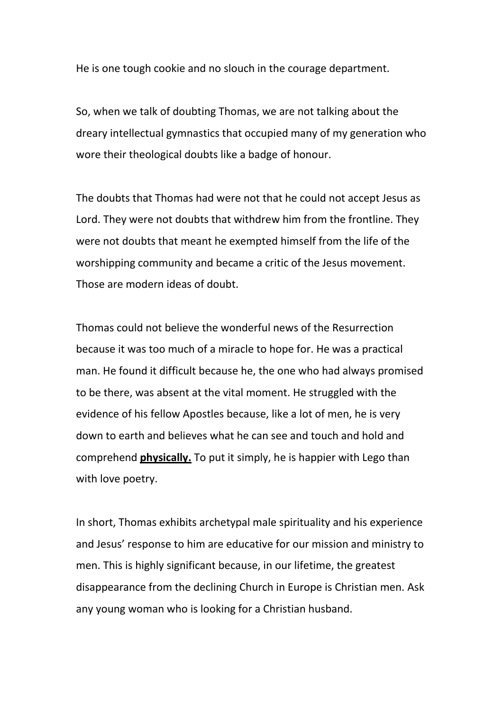He is one tough cookie and no slouch in the courage department.

So, when we talk of doubting Thomas, we are not talking about the dreary intellectual gymnastics that occupied many of my generation who wore their theological doubts like a badge of honour.

The doubts that Thomas had were not that he could not accept Jesus as Lord. They were not doubts that withdrew him from the frontline. They were not doubts that meant he exempted himself from the life of the worshipping community and became a critic of the Jesus movement. Those are modern ideas of doubt.

Thomas could not believe the wonderful news of the Resurrection because it was too much of a miracle to hope for. He was a practical man. He found it difficult because he, the one who had always promised to be there, was absent at the vital moment. He struggled with the evidence of his fellow Apostles because, like a lot of men, he is very down to earth and believes what he can see and touch and hold and comprehend **physically.** To put it simply, he is happier with Lego than with love poetry.

In short, Thomas exhibits archetypal male spirituality and his experience and Jesus' response to him are educative for our mission and ministry to men. This is highly significant because, in our lifetime, the greatest disappearance from the declining Church in Europe is Christian men. Ask any young woman who is looking for a Christian husband.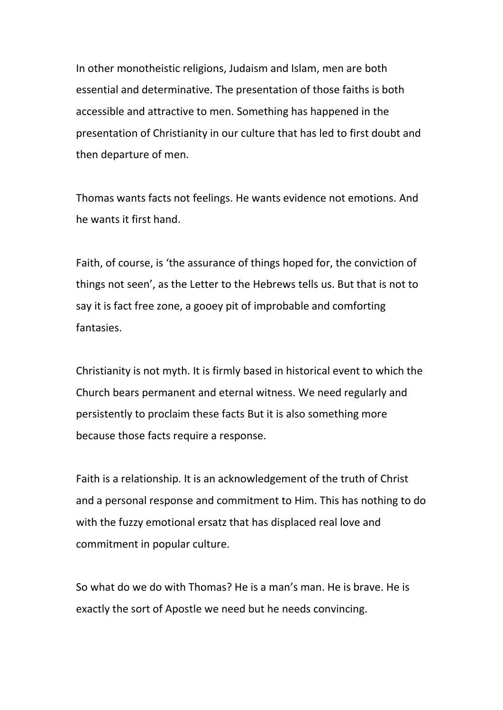In other monotheistic religions, Judaism and Islam, men are both essential and determinative. The presentation of those faiths is both accessible and attractive to men. Something has happened in the presentation of Christianity in our culture that has led to first doubt and then departure of men.

Thomas wants facts not feelings. He wants evidence not emotions. And he wants it first hand.

Faith, of course, is 'the assurance of things hoped for, the conviction of things not seen', as the Letter to the Hebrews tells us. But that is not to say it is fact free zone, a gooey pit of improbable and comforting fantasies.

Christianity is not myth. It is firmly based in historical event to which the Church bears permanent and eternal witness. We need regularly and persistently to proclaim these facts But it is also something more because those facts require a response.

Faith is a relationship. It is an acknowledgement of the truth of Christ and a personal response and commitment to Him. This has nothing to do with the fuzzy emotional ersatz that has displaced real love and commitment in popular culture.

So what do we do with Thomas? He is a man's man. He is brave. He is exactly the sort of Apostle we need but he needs convincing.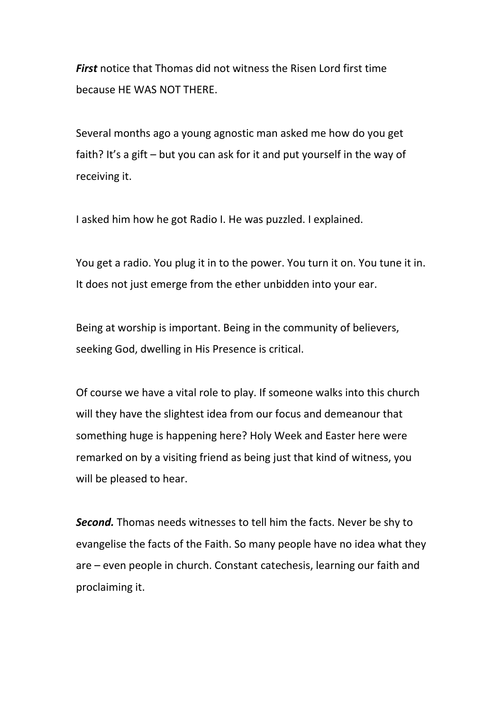*First* notice that Thomas did not witness the Risen Lord first time because HE WAS NOT THERE.

Several months ago a young agnostic man asked me how do you get faith? It's a gift – but you can ask for it and put yourself in the way of receiving it.

I asked him how he got Radio I. He was puzzled. I explained.

You get a radio. You plug it in to the power. You turn it on. You tune it in. It does not just emerge from the ether unbidden into your ear.

Being at worship is important. Being in the community of believers, seeking God, dwelling in His Presence is critical.

Of course we have a vital role to play. If someone walks into this church will they have the slightest idea from our focus and demeanour that something huge is happening here? Holy Week and Easter here were remarked on by a visiting friend as being just that kind of witness, you will be pleased to hear.

*Second.* Thomas needs witnesses to tell him the facts. Never be shy to evangelise the facts of the Faith. So many people have no idea what they are – even people in church. Constant catechesis, learning our faith and proclaiming it.